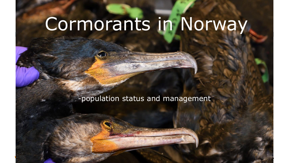# Cormorants in Norway

-population status and management

**www.nina.no**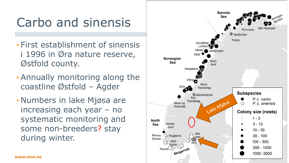# Carbo and sinensis

- First establishment of sinensis i 1996 in Øra nature reserve, Østfold county.
- Annually monitoring along the coastline Østfold – Agder
- Numbers in lake Mjøsa are increasing each year – no systematic monitoring and some non-breeders? stay during winter.

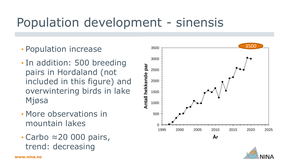#### Population development - sinensis

- Population increase
- In addition: 500 breeding pairs in Hordaland (not included in this figure) and overwintering birds in lake Mjøsa
- More observations in mountain lakes
- Carbo ≈20 000 pairs, trend: decreasing



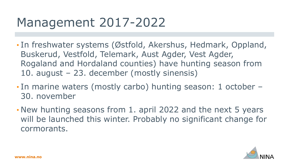# Management 2017-2022

- In freshwater systems (Østfold, Akershus, Hedmark, Oppland, Buskerud, Vestfold, Telemark, Aust Agder, Vest Agder, Rogaland and Hordaland counties) have hunting season from 10. august – 23. december (mostly sinensis)
- In marine waters (mostly carbo) hunting season: 1 october 30. november
- New hunting seasons from 1. april 2022 and the next 5 years will be launched this winter. Probably no significant change for cormorants.

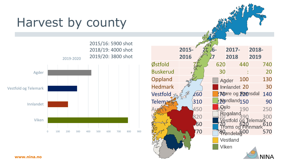### Harvest by county





**www.nina.no**